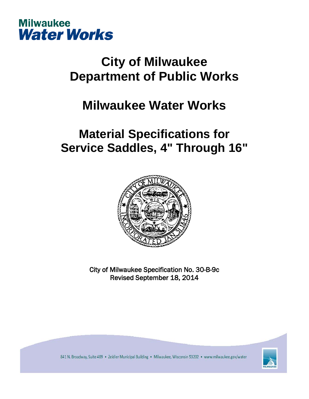

# **City of Milwaukee Department of Public Works**

# **Milwaukee Water Works**

# **Material Specifications for Service Saddles, 4" Through 16"**



City of Milwaukee Specification No. 30-B-9c Revised September 18, 2014



841 N. Broadway, Suite 409 . Zeidler Municipal Building . Milwaukee, Wisconsin 53202 . www.milwaukee.gov/water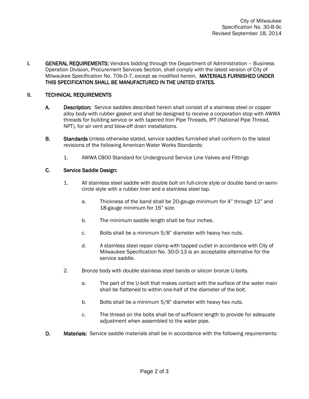I. GENERAL REQUIREMENTS: Vendors bidding through the Department of Administration - Business Operation Division, Procurement Services Section, shall comply with the latest version of City of Milwaukee Specification No. 70b-D-7, except as modified herein. MATERIALS FURNISHED UNDER THIS SPECIFICATION SHALL BE MANUFACTURED IN THE UNITED STATES.

### II. TECHNICAL REQUIREMENTS

- A. Description: Service saddles described herein shall consist of a stainless steel or copper alloy body with rubber gasket and shall be designed to receive a corporation stop with AWWA threads for building service or with tapered Iron Pipe Threads, IPT (National Pipe Thread, NPT), for air vent and blow-off drain installations.
- B. Standards Unless otherwise stated, service saddles furnished shall conform to the latest revisions of the following American Water Works Standards:
	- 1. AWWA C800 Standard for Underground Service Line Valves and Fittings

#### C. Service Saddle Design:

- 1. All stainless steel saddle with double bolt on full-circle style or double band on semicircle style with a rubber liner and a stainless steel tap.
	- a. Thickness of the band shall be 20-gauge minimum for 4" through 12" and 18-gauge minimum for 16" size.
	- b. The minimum saddle length shall be four inches.
	- c. Bolts shall be a minimum 5/8" diameter with heavy hex nuts.
	- d. A stainless steel repair clamp with tapped outlet in accordance with City of Milwaukee Specification No. 30-D-13 is an acceptable alternative for the service saddle.
- 2. Bronze body with double stainless steel bands or silicon bronze U-bolts.
	- a. The part of the U-bolt that makes contact with the surface of the water main shall be flattened to within one-half of the diameter of the bolt.
	- b. Bolts shall be a minimum 5/8" diameter with heavy hex nuts.
	- c. The thread on the bolts shall be of sufficient length to provide for adequate adjustment when assembled to the water pipe.
- D. Materials: Service saddle materials shall be in accordance with the following requirements: